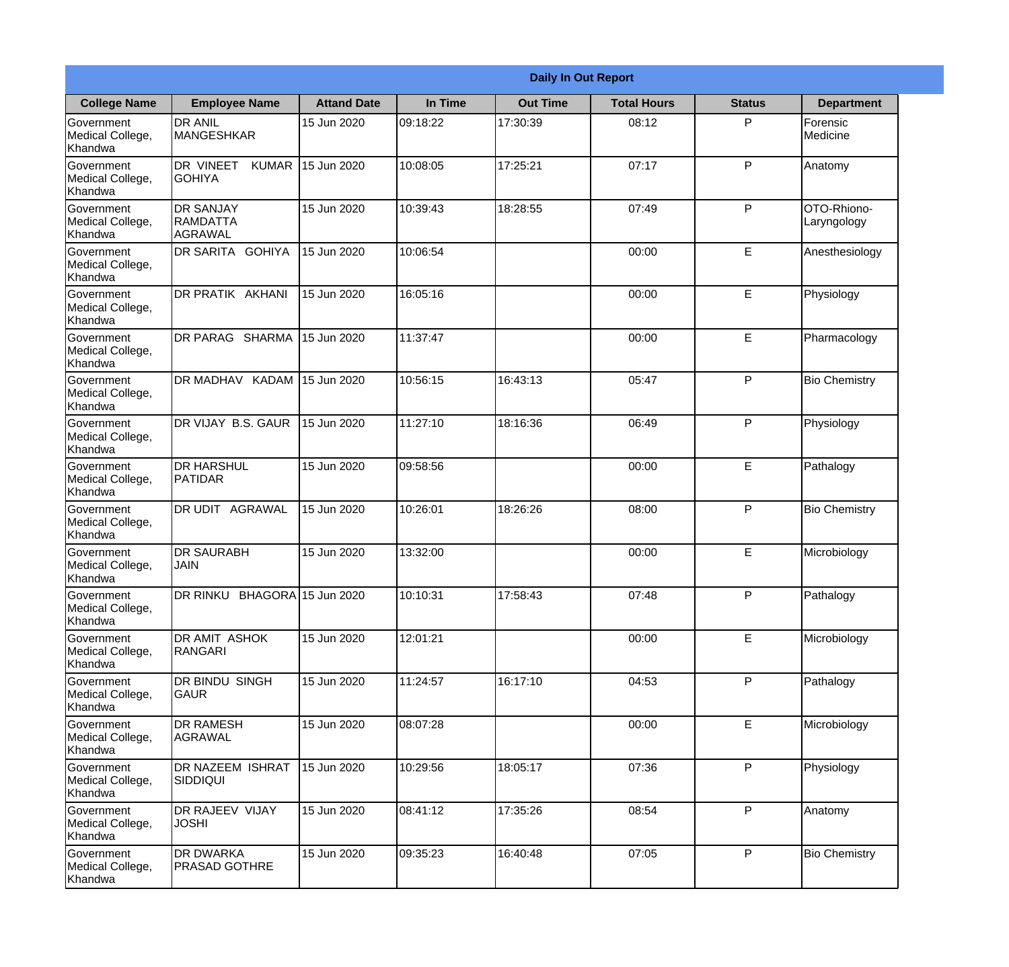|                                                  |                                                        |                    |          | <b>Daily In Out Report</b> |                    |               |                            |
|--------------------------------------------------|--------------------------------------------------------|--------------------|----------|----------------------------|--------------------|---------------|----------------------------|
| <b>College Name</b>                              | <b>Employee Name</b>                                   | <b>Attand Date</b> | In Time  | <b>Out Time</b>            | <b>Total Hours</b> | <b>Status</b> | <b>Department</b>          |
| Government<br>Medical College,<br>Khandwa        | <b>DR ANIL</b><br><b>MANGESHKAR</b>                    | 15 Jun 2020        | 09:18:22 | 17:30:39                   | 08:12              | P             | Forensic<br>Medicine       |
| Government<br>Medical College,<br>Khandwa        | DR VINEET<br><b>KUMAR</b><br><b>GOHIYA</b>             | 15 Jun 2020        | 10:08:05 | 17:25:21                   | 07:17              | P             | Anatomy                    |
| <b>Government</b><br>Medical College,<br>Khandwa | <b>IDR SANJAY</b><br><b>RAMDATTA</b><br><b>AGRAWAL</b> | 15 Jun 2020        | 10:39:43 | 18:28:55                   | 07:49              | P             | OTO-Rhiono-<br>Laryngology |
| Government<br>Medical College,<br>Khandwa        | <b>DR SARITA GOHIYA</b>                                | 15 Jun 2020        | 10:06:54 |                            | 00:00              | E             | Anesthesiology             |
| Government<br>Medical College,<br>Khandwa        | <b>DR PRATIK AKHANI</b>                                | 15 Jun 2020        | 16:05:16 |                            | 00:00              | E             | Physiology                 |
| Government<br>Medical College,<br>Khandwa        | DR PARAG SHARMA                                        | 15 Jun 2020        | 11:37:47 |                            | 00:00              | E             | Pharmacology               |
| Government<br>Medical College,<br>Khandwa        | DR MADHAV KADAM                                        | 15 Jun 2020        | 10:56:15 | 16:43:13                   | 05:47              | P             | <b>Bio Chemistry</b>       |
| Government<br>Medical College,<br>Khandwa        | DR VIJAY B.S. GAUR                                     | 15 Jun 2020        | 11:27:10 | 18:16:36                   | 06:49              | P             | Physiology                 |
| Government<br>Medical College,<br>Khandwa        | <b>DR HARSHUL</b><br>PATIDAR                           | 15 Jun 2020        | 09:58:56 |                            | 00:00              | E             | Pathalogy                  |
| Government<br>Medical College,<br>Khandwa        | DR UDIT<br><b>AGRAWAL</b>                              | 15 Jun 2020        | 10:26:01 | 18:26:26                   | 08:00              | P             | <b>Bio Chemistry</b>       |
| Government<br>Medical College,<br>Khandwa        | <b>DR SAURABH</b><br><b>JAIN</b>                       | 15 Jun 2020        | 13:32:00 |                            | 00:00              | E             | Microbiology               |
| Government<br>Medical College,<br>Khandwa        | DR RINKU BHAGORA 15 Jun 2020                           |                    | 10:10:31 | 17:58:43                   | 07:48              | P             | Pathalogy                  |
| Government<br>Medical College,<br>Khandwa        | DR AMIT ASHOK<br>RANGARI                               | 15 Jun 2020        | 12:01:21 |                            | 00:00              | E             | Microbiology               |
| Government<br>Medical College,<br>Khandwa        | DR BINDU SINGH<br><b>GAUR</b>                          | 15 Jun 2020        | 11:24:57 | 16:17:10                   | 04:53              | P             | Pathalogy                  |
| Government<br>Medical College,<br>Khandwa        | <b>DR RAMESH</b><br><b>AGRAWAL</b>                     | 15 Jun 2020        | 08:07:28 |                            | 00:00              | E             | Microbiology               |
| Government<br>Medical College,<br>Khandwa        | <b>DR NAZEEM ISHRAT</b><br>SIDDIQUI                    | 15 Jun 2020        | 10:29:56 | 18:05:17                   | 07:36              | P             | Physiology                 |
| Government<br>Medical College,<br>Khandwa        | <b>DR RAJEEV VIJAY</b><br><b>JOSHI</b>                 | 15 Jun 2020        | 08:41:12 | 17:35:26                   | 08:54              | P             | Anatomy                    |
| Government<br>Medical College,<br>Khandwa        | <b>DR DWARKA</b><br><b>PRASAD GOTHRE</b>               | 15 Jun 2020        | 09:35:23 | 16:40:48                   | 07:05              | P             | <b>Bio Chemistry</b>       |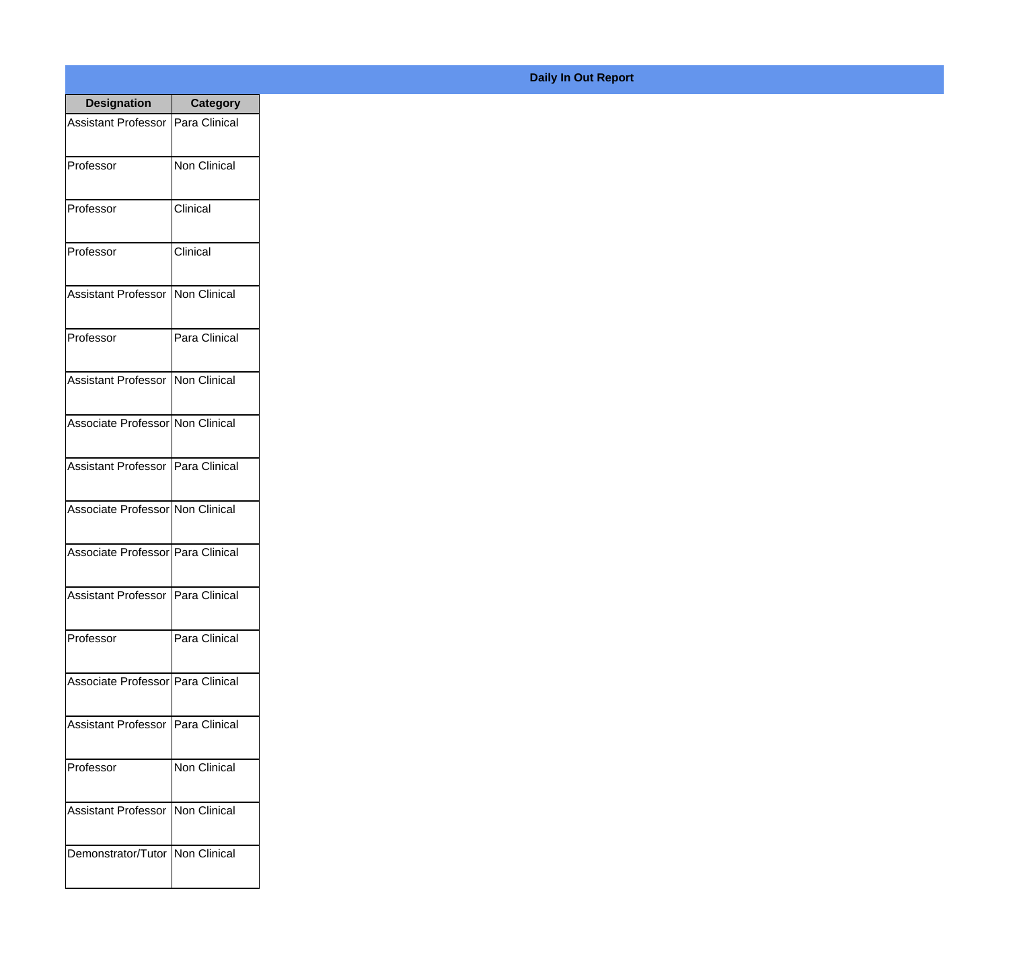| <b>Designation</b>                  | <b>Category</b>     |
|-------------------------------------|---------------------|
| Assistant Professor   Para Clinical |                     |
| Professor                           | <b>Non Clinical</b> |
| Professor                           | Clinical            |
| Professor                           | Clinical            |
| <b>Assistant Professor</b>          | Non Clinical        |
| Professor                           | Para Clinical       |
| Assistant Professor   Non Clinical  |                     |
| Associate Professor Non Clinical    |                     |
| Assistant Professor   Para Clinical |                     |
| Associate Professor Non Clinical    |                     |
| Associate Professor Para Clinical   |                     |
| Assistant Professor   Para Clinical |                     |
| Professor                           | Para Clinical       |
| Associate Professor Para Clinical   |                     |
| Assistant Professor                 | Para Clinical       |
| Professor                           | Non Clinical        |
| <b>Assistant Professor</b>          | Non Clinical        |
| Demonstrator/Tutor   Non Clinical   |                     |

## **Daily In Out Report**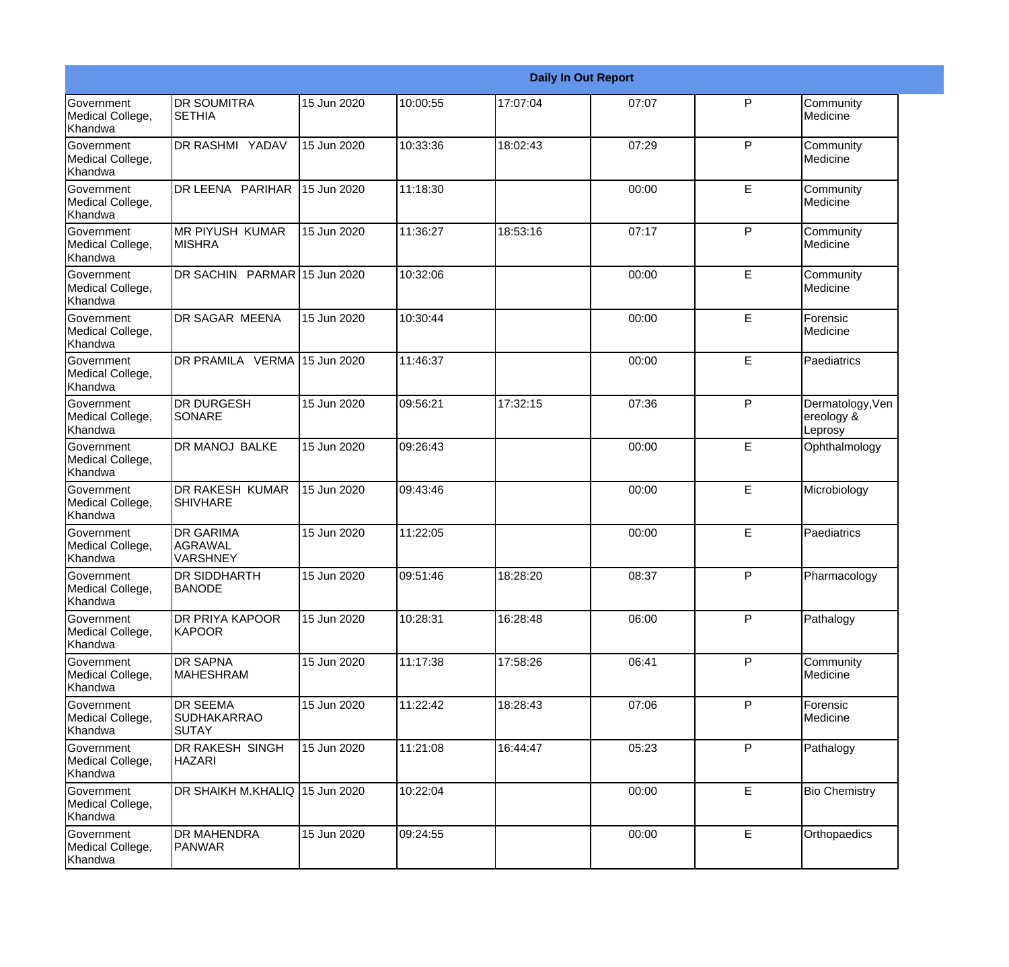|                                                  |                                                       |             |          |          | <b>Daily In Out Report</b> |              |                                           |
|--------------------------------------------------|-------------------------------------------------------|-------------|----------|----------|----------------------------|--------------|-------------------------------------------|
| Government<br>Medical College,<br>Khandwa        | <b>DR SOUMITRA</b><br><b>SETHIA</b>                   | 15 Jun 2020 | 10:00:55 | 17:07:04 | 07:07                      | P            | Community<br>Medicine                     |
| <b>Government</b><br>Medical College,<br>Khandwa | DR RASHMI YADAV                                       | 15 Jun 2020 | 10:33:36 | 18:02:43 | 07:29                      | $\mathsf{P}$ | Community<br>Medicine                     |
| <b>Government</b><br>Medical College,<br>Khandwa | DR LEENA PARIHAR                                      | 15 Jun 2020 | 11:18:30 |          | 00:00                      | E            | Community<br>Medicine                     |
| <b>Government</b><br>Medical College,<br>Khandwa | <b>MR PIYUSH KUMAR</b><br><b>MISHRA</b>               | 15 Jun 2020 | 11:36:27 | 18:53:16 | 07:17                      | P            | Community<br>Medicine                     |
| Government<br>Medical College,<br>Khandwa        | DR SACHIN PARMAR 15 Jun 2020                          |             | 10:32:06 |          | 00:00                      | E            | Community<br>Medicine                     |
| <b>Government</b><br>Medical College,<br>Khandwa | <b>DR SAGAR MEENA</b>                                 | 15 Jun 2020 | 10:30:44 |          | 00:00                      | E            | Forensic<br>Medicine                      |
| Government<br>Medical College,<br>Khandwa        | DR PRAMILA VERMA 15 Jun 2020                          |             | 11:46:37 |          | 00:00                      | E            | Paediatrics                               |
| Government<br>Medical College,<br>Khandwa        | <b>DR DURGESH</b><br>SONARE                           | 15 Jun 2020 | 09:56:21 | 17:32:15 | 07:36                      | P            | Dermatology, Ven<br>ereology &<br>Leprosy |
| Government<br>Medical College,<br>Khandwa        | <b>DR MANOJ BALKE</b>                                 | 15 Jun 2020 | 09:26:43 |          | 00:00                      | E            | Ophthalmology                             |
| <b>Government</b><br>Medical College,<br>Khandwa | <b>DR RAKESH KUMAR</b><br><b>SHIVHARE</b>             | 15 Jun 2020 | 09:43:46 |          | 00:00                      | E            | Microbiology                              |
| <b>Government</b><br>Medical College,<br>Khandwa | <b>DR GARIMA</b><br><b>AGRAWAL</b><br><b>VARSHNEY</b> | 15 Jun 2020 | 11:22:05 |          | 00:00                      | E            | Paediatrics                               |
| Government<br>Medical College,<br>Khandwa        | <b>DR SIDDHARTH</b><br><b>BANODE</b>                  | 15 Jun 2020 | 09:51:46 | 18:28:20 | 08:37                      | P            | Pharmacology                              |
| <b>Government</b><br>Medical College,<br>Khandwa | DR PRIYA KAPOOR<br><b>KAPOOR</b>                      | 15 Jun 2020 | 10:28:31 | 16:28:48 | 06:00                      | P            | Pathalogy                                 |
| Government<br>Medical College,<br>Khandwa        | <b>DR SAPNA</b><br><b>MAHESHRAM</b>                   | 15 Jun 2020 | 11:17:38 | 17:58:26 | 06:41                      | $\mathsf{P}$ | Community<br>Medicine                     |
| Government<br>Medical College,<br>Khandwa        | <b>DR SEEMA</b><br><b>SUDHAKARRAO</b><br><b>SUTAY</b> | 15 Jun 2020 | 11:22:42 | 18:28:43 | 07:06                      | P            | Forensic<br>Medicine                      |
| Government<br>Medical College,<br>Khandwa        | DR RAKESH SINGH<br><b>HAZARI</b>                      | 15 Jun 2020 | 11:21:08 | 16:44:47 | 05:23                      | P            | Pathalogy                                 |
| Government<br>Medical College,<br>Khandwa        | DR SHAIKH M.KHALIQ 15 Jun 2020                        |             | 10:22:04 |          | 00:00                      | E            | <b>Bio Chemistry</b>                      |
| Government<br>Medical College,<br>Khandwa        | <b>DR MAHENDRA</b><br>PANWAR                          | 15 Jun 2020 | 09:24:55 |          | 00:00                      | $\mathsf E$  | Orthopaedics                              |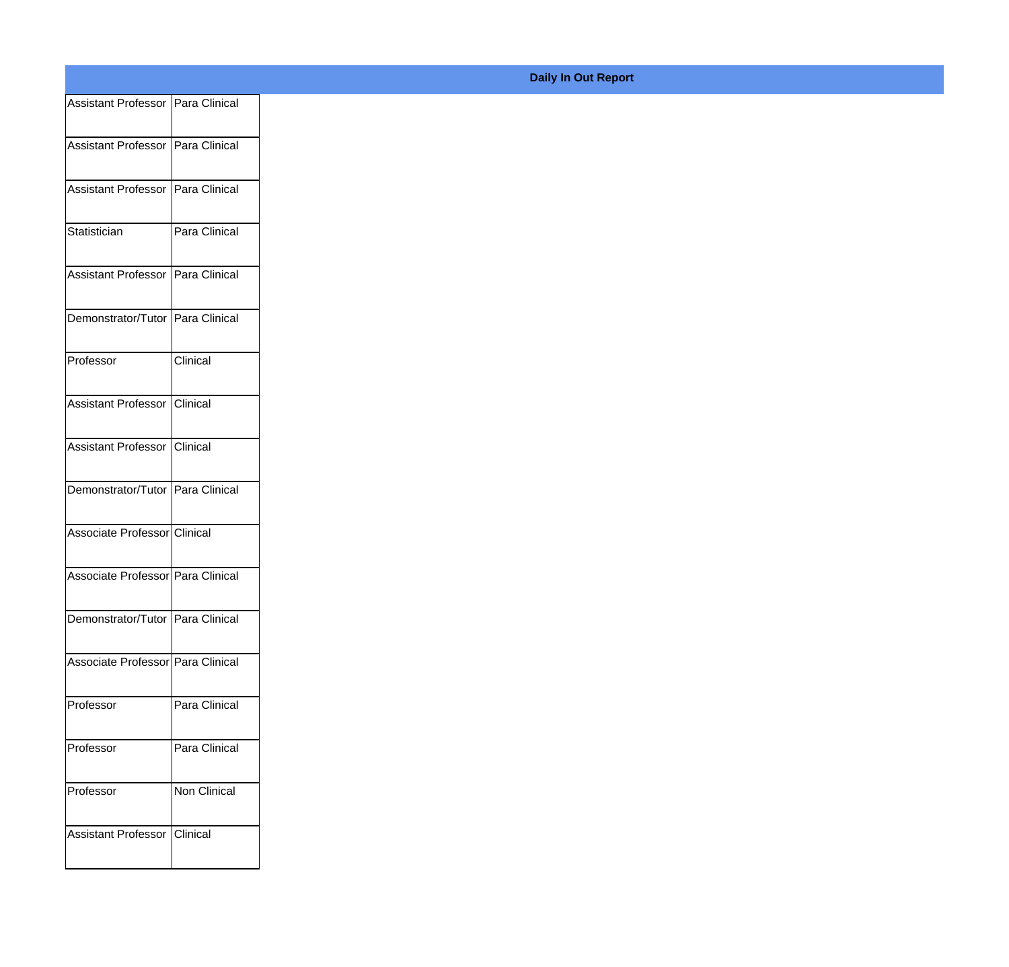|                                     |               | <b>Daily In Out Report</b> |
|-------------------------------------|---------------|----------------------------|
| Assistant Professor   Para Clinical |               |                            |
|                                     |               |                            |
| Assistant Professor   Para Clinical |               |                            |
|                                     |               |                            |
| Assistant Professor   Para Clinical |               |                            |
|                                     |               |                            |
| Statistician                        | Para Clinical |                            |
|                                     |               |                            |
| Assistant Professor   Para Clinical |               |                            |
|                                     |               |                            |
| Demonstrator/Tutor Para Clinical    |               |                            |
|                                     |               |                            |
| Professor                           | Clinical      |                            |
|                                     |               |                            |
| Assistant Professor Clinical        |               |                            |
|                                     |               |                            |
| Assistant Professor   Clinical      |               |                            |
|                                     |               |                            |
|                                     |               |                            |
| Demonstrator/Tutor Para Clinical    |               |                            |
|                                     |               |                            |
| Associate Professor Clinical        |               |                            |
|                                     |               |                            |
| Associate Professor Para Clinical   |               |                            |
|                                     |               |                            |
| Demonstrator/Tutor   Para Clinical  |               |                            |
|                                     |               |                            |
| Associate Professor Para Clinical   |               |                            |
|                                     |               |                            |
| Professor                           | Para Clinical |                            |
|                                     |               |                            |
| Professor                           | Para Clinical |                            |
|                                     |               |                            |
| Professor                           | Non Clinical  |                            |
|                                     |               |                            |
| Assistant Professor Clinical        |               |                            |
|                                     |               |                            |
|                                     |               |                            |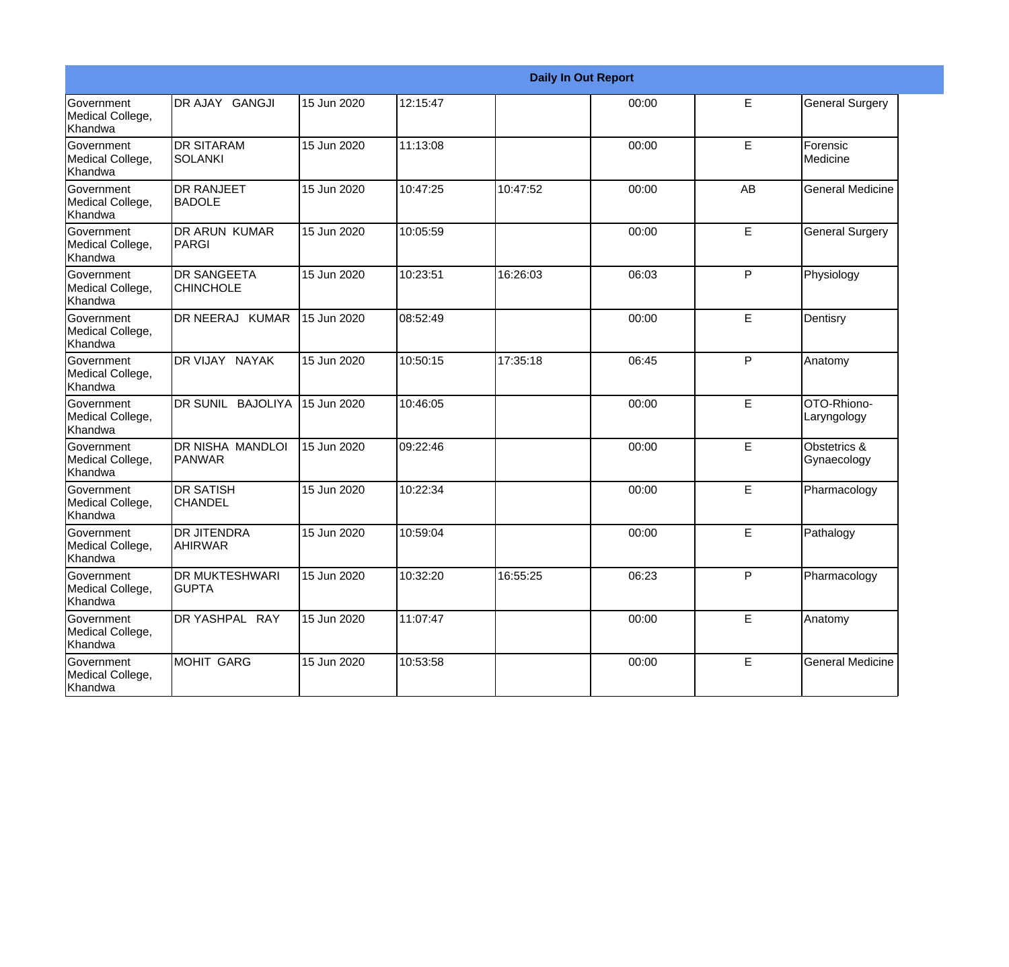|                                                         |                                          |             |          |          | <b>Daily In Out Report</b> |    |                             |
|---------------------------------------------------------|------------------------------------------|-------------|----------|----------|----------------------------|----|-----------------------------|
| Government<br>Medical College,<br>Khandwa               | DR AJAY GANGJI                           | 15 Jun 2020 | 12:15:47 |          | 00:00                      | E  | <b>General Surgery</b>      |
| Government<br>Medical College,<br>Khandwa               | <b>DR SITARAM</b><br>SOLANKI             | 15 Jun 2020 | 11:13:08 |          | 00:00                      | E  | Forensic<br>Medicine        |
| <b>Government</b><br>Medical College,<br>Khandwa        | <b>DR RANJEET</b><br><b>BADOLE</b>       | 15 Jun 2020 | 10:47:25 | 10:47:52 | 00:00                      | AB | <b>General Medicine</b>     |
| Government<br>Medical College,<br>Khandwa               | IDR ARUN KUMAR<br><b>PARGI</b>           | 15 Jun 2020 | 10:05:59 |          | 00:00                      | E  | <b>General Surgery</b>      |
| Government<br>Medical College,<br>Khandwa               | <b>DR SANGEETA</b><br><b>CHINCHOLE</b>   | 15 Jun 2020 | 10:23:51 | 16:26:03 | 06:03                      | P  | Physiology                  |
| Government<br>Medical College,<br>Khandwa               | DR NEERAJ KUMAR                          | 15 Jun 2020 | 08:52:49 |          | 00:00                      | E  | Dentisry                    |
| <b>Government</b><br>Medical College,<br>Khandwa        | DR VIJAY NAYAK                           | 15 Jun 2020 | 10:50:15 | 17:35:18 | 06:45                      | P  | Anatomy                     |
| Government<br>Medical College,<br>Khandwa               | DR SUNIL BAJOLIYA                        | 15 Jun 2020 | 10:46:05 |          | 00:00                      | E  | OTO-Rhiono-<br>Laryngology  |
| Government<br>Medical College,<br>Khandwa               | <b>DR NISHA MANDLOI</b><br><b>PANWAR</b> | 15 Jun 2020 | 09:22:46 |          | 00:00                      | E  | Obstetrics &<br>Gynaecology |
| <b>Government</b><br>Medical College,<br>Khandwa        | IDR SATISH<br><b>CHANDEL</b>             | 15 Jun 2020 | 10:22:34 |          | 00:00                      | E  | Pharmacology                |
| <b>Government</b><br>Medical College,<br><b>Khandwa</b> | <b>DR JITENDRA</b><br>AHIRWAR            | 15 Jun 2020 | 10:59:04 |          | 00:00                      | E  | Pathalogy                   |
| Government<br>Medical College,<br>Khandwa               | <b>IDR MUKTESHWARI</b><br><b>GUPTA</b>   | 15 Jun 2020 | 10:32:20 | 16:55:25 | 06:23                      | P  | Pharmacology                |
| Government<br>Medical College,<br>Khandwa               | DR YASHPAL RAY                           | 15 Jun 2020 | 11:07:47 |          | 00:00                      | E  | Anatomy                     |
| Government<br>Medical College,<br>Khandwa               | MOHIT GARG                               | 15 Jun 2020 | 10:53:58 |          | 00:00                      | E  | <b>General Medicine</b>     |